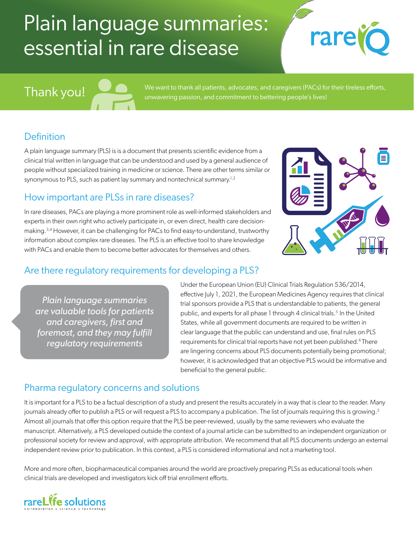## Plain language summaries: essential in rare disease

# rare



We want to thank all patients, advocates, and caregivers (PACs) for their tireless efforts, unwavering passion, and commitment to bettering people's lives!

### **Definition**

A plain language summary (PLS) is is a document that presents scientific evidence from a clinical trial written in language that can be understood and used by a general audience of people without specialized training in medicine or science. There are other terms similar or synonymous to PLS, such as patient lay summary and nontechnical summary.<sup>1,2</sup>

#### How important are PLSs in rare diseases?

In rare diseases, PACs are playing a more prominent role as well-informed stakeholders and experts in their own right who actively participate in, or even direct, health care decisionmaking.3,4 However, it can be challenging for PACs to find easy-to-understand, trustworthy information about complex rare diseases. The PLS is an effective tool to share knowledge with PACs and enable them to become better advocates for themselves and others.



#### Are there regulatory requirements for developing a PLS?

*Plain language summaries are valuable tools for patients and caregivers, first and foremost, and they may fulfill regulatory requirements*

Under the European Union (EU) Clinical Trials Regulation 536/2014, effective July 1, 2021, the European Medicines Agency requires that clinical trial sponsors provide a PLS that is understandable to patients, the general public, and experts for all phase 1 through 4 clinical trials.<sup>5</sup> In the United States, while all government documents are required to be written in clear language that the public can understand and use, final rules on PLS requirements for clinical trial reports have not yet been published.<sup>6</sup> There are lingering concerns about PLS documents potentially being promotional; however, it is acknowledged that an objective PLS would be informative and beneficial to the general public.

#### Pharma regulatory concerns and solutions

It is important for a PLS to be a factual description of a study and present the results accurately in a way that is clear to the reader. Many journals already offer to publish a PLS or will request a PLS to accompany a publication. The list of journals requiring this is growing.<sup>2</sup> Almost all journals that offer this option require that the PLS be peer-reviewed, usually by the same reviewers who evaluate the manuscript. Alternatively, a PLS developed outside the context of a journal article can be submitted to an independent organization or professional society for review and approval, with appropriate attribution. We recommend that all PLS documents undergo an external independent review prior to publication. In this context, a PLS is considered informational and not a marketing tool.

More and more often, biopharmaceutical companies around the world are proactively preparing PLSs as educational tools when clinical trials are developed and investigators kick off trial enrollment efforts.

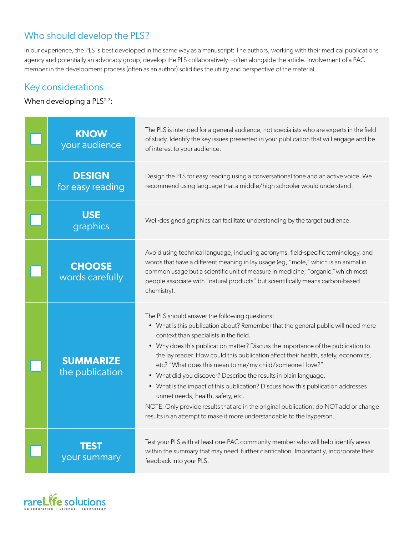### Who should develop the PLS?

In our experience, the PLS is best developed in the same way as a manuscript: The authors, working with their medical publications agency and potentially an advocacy group, develop the PLS collaboratively—often alongside the article. Involvement of a PAC member in the development process (often as an author) solidifies the utility and perspective of the material.

#### Key considerations

#### When developing a  $PLS<sup>2,7</sup>$ :

| <b>KNOW</b><br>your audience        | The PLS is intended for a general audience, not specialists who are experts in the field<br>of study. Identify the key issues presented in your publication that will engage and be<br>of interest to your audience.                                                                                                                                                                                                                                                                                                                                                                                                                                                                                                                                                                 |
|-------------------------------------|--------------------------------------------------------------------------------------------------------------------------------------------------------------------------------------------------------------------------------------------------------------------------------------------------------------------------------------------------------------------------------------------------------------------------------------------------------------------------------------------------------------------------------------------------------------------------------------------------------------------------------------------------------------------------------------------------------------------------------------------------------------------------------------|
| <b>DESIGN</b><br>for easy reading   | Design the PLS for easy reading using a conversational tone and an active voice. We<br>recommend using language that a middle/high schooler would understand.                                                                                                                                                                                                                                                                                                                                                                                                                                                                                                                                                                                                                        |
| <b>USE</b><br>graphics              | Well-designed graphics can facilitate understanding by the target audience.                                                                                                                                                                                                                                                                                                                                                                                                                                                                                                                                                                                                                                                                                                          |
| <b>CHOOSE</b><br>words carefully    | Avoid using technical language, including acronyms, field-specific terminology, and<br>words that have a different meaning in lay usage (eg, "mole," which is an animal in<br>common usage but a scientific unit of measure in medicine; "organic," which most<br>people associate with "natural products" but scientifically means carbon-based<br>chemistry).                                                                                                                                                                                                                                                                                                                                                                                                                      |
| <b>SUMMARIZE</b><br>the publication | The PLS should answer the following questions:<br>• What is this publication about? Remember that the general public will need more<br>context than specialists in the field.<br>• Why does this publication matter? Discuss the importance of the publication to<br>the lay reader. How could this publication affect their health, safety, economics,<br>etc? "What does this mean to me/my child/someone I love?"<br>• What did you discover? Describe the results in plain language.<br>• What is the impact of this publication? Discuss how this publication addresses<br>unmet needs, health, safety, etc.<br>NOTE: Only provide results that are in the original publication; do NOT add or change<br>results in an attempt to make it more understandable to the layperson. |
| your summary                        | Test your PLS with at least one PAC community member who will help identify areas<br>within the summary that may need further clarification. Importantly, incorporate their<br>feedback into your PLS.                                                                                                                                                                                                                                                                                                                                                                                                                                                                                                                                                                               |